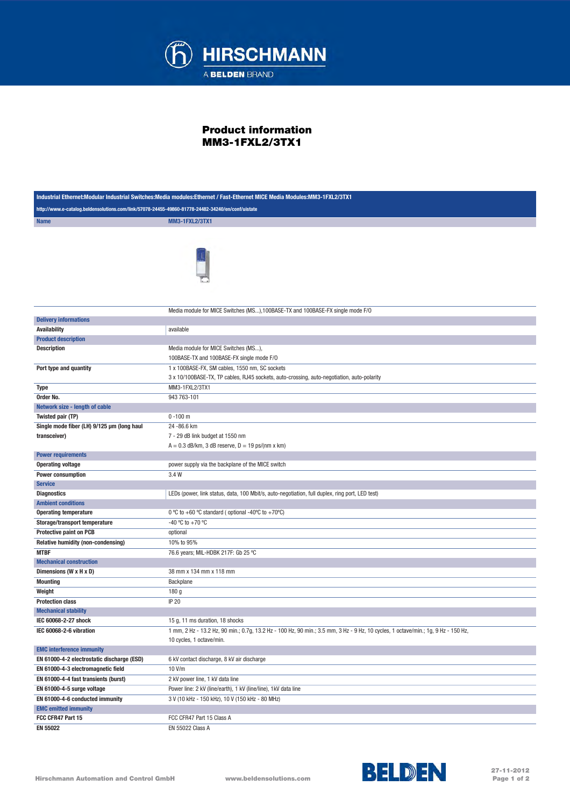

## Product information MM3-1FXL2/3TX1

| Industrial Ethernet:Modular Industrial Switches:Media modules:Ethernet / Fast-Ethernet MICE Media Modules:MM3-1FXL2/3TX1 |                                                                                                                                   |  |
|--------------------------------------------------------------------------------------------------------------------------|-----------------------------------------------------------------------------------------------------------------------------------|--|
| http://www.e-catalog.beldensolutions.com/link/57078-24455-49860-81778-24482-34240/en/conf/uistate                        |                                                                                                                                   |  |
| <b>Name</b>                                                                                                              | <b>MM3-1FXL2/3TX1</b>                                                                                                             |  |
|                                                                                                                          |                                                                                                                                   |  |
|                                                                                                                          |                                                                                                                                   |  |
|                                                                                                                          | Media module for MICE Switches (MS), 100BASE-TX and 100BASE-FX single mode F/O                                                    |  |
| <b>Delivery informations</b>                                                                                             |                                                                                                                                   |  |
| <b>Availability</b>                                                                                                      | available                                                                                                                         |  |
| <b>Product description</b>                                                                                               |                                                                                                                                   |  |
| <b>Description</b>                                                                                                       | Media module for MICE Switches (MS),                                                                                              |  |
|                                                                                                                          | 100BASE-TX and 100BASE-FX single mode F/O                                                                                         |  |
| Port type and quantity                                                                                                   | 1 x 100BASE-FX, SM cables, 1550 nm, SC sockets                                                                                    |  |
|                                                                                                                          | 3 x 10/100BASE-TX, TP cables, RJ45 sockets, auto-crossing, auto-negotiation, auto-polarity                                        |  |
| Type                                                                                                                     | MM3-1FXL2/3TX1                                                                                                                    |  |
| Order No.                                                                                                                | 943 763-101                                                                                                                       |  |
| Network size - length of cable                                                                                           |                                                                                                                                   |  |
| Twisted pair (TP)                                                                                                        | $0 - 100$ m                                                                                                                       |  |
| Single mode fiber (LH) 9/125 µm (long haul                                                                               | 24 - 86.6 km                                                                                                                      |  |
| transceiver)                                                                                                             | 7 - 29 dB link budget at 1550 nm                                                                                                  |  |
|                                                                                                                          | $A = 0.3$ dB/km, 3 dB reserve, $D = 19$ ps/(nm x km)                                                                              |  |
| <b>Power requirements</b>                                                                                                |                                                                                                                                   |  |
| <b>Operating voltage</b>                                                                                                 | power supply via the backplane of the MICE switch                                                                                 |  |
| <b>Power consumption</b>                                                                                                 | 3.4 W                                                                                                                             |  |
| <b>Service</b>                                                                                                           |                                                                                                                                   |  |
| <b>Diagnostics</b>                                                                                                       | LEDs (power, link status, data, 100 Mbit/s, auto-negotiation, full duplex, ring port, LED test)                                   |  |
| <b>Ambient conditions</b>                                                                                                |                                                                                                                                   |  |
| <b>Operating temperature</b>                                                                                             | 0 °C to +60 °C standard (optional -40°C to +70°C)                                                                                 |  |
| Storage/transport temperature                                                                                            | -40 °C to +70 °C                                                                                                                  |  |
| <b>Protective paint on PCB</b>                                                                                           | optional                                                                                                                          |  |
| Relative humidity (non-condensing)                                                                                       | 10% to 95%                                                                                                                        |  |
| <b>MTBF</b>                                                                                                              | 76.6 years; MIL-HDBK 217F: Gb 25 °C                                                                                               |  |
| <b>Mechanical construction</b>                                                                                           |                                                                                                                                   |  |
| Dimensions (W x H x D)                                                                                                   | 38 mm x 134 mm x 118 mm                                                                                                           |  |
| <b>Mounting</b>                                                                                                          | Backplane                                                                                                                         |  |
| Weight                                                                                                                   | 180 g                                                                                                                             |  |
| <b>Protection class</b>                                                                                                  | <b>IP 20</b>                                                                                                                      |  |
| <b>Mechanical stability</b><br>IEC 60068-2-27 shock                                                                      | 15 g, 11 ms duration, 18 shocks                                                                                                   |  |
|                                                                                                                          | 1 mm, 2 Hz - 13.2 Hz, 90 min.; 0.7g, 13.2 Hz - 100 Hz, 90 min.; 3.5 mm, 3 Hz - 9 Hz, 10 cycles, 1 octave/min.; 1g, 9 Hz - 150 Hz, |  |
| IEC 60068-2-6 vibration                                                                                                  | 10 cycles, 1 octave/min.                                                                                                          |  |
| <b>EMC interference immunity</b>                                                                                         |                                                                                                                                   |  |
| EN 61000-4-2 electrostatic discharge (ESD)                                                                               | 6 kV contact discharge, 8 kV air discharge                                                                                        |  |
| EN 61000-4-3 electromagnetic field                                                                                       | 10 V/m                                                                                                                            |  |
| EN 61000-4-4 fast transients (burst)                                                                                     | 2 kV power line, 1 kV data line                                                                                                   |  |
| EN 61000-4-5 surge voltage                                                                                               | Power line: 2 kV (line/earth), 1 kV (line/line), 1 kV data line                                                                   |  |
| EN 61000-4-6 conducted immunity                                                                                          | 3 V (10 kHz - 150 kHz), 10 V (150 kHz - 80 MHz)                                                                                   |  |
| <b>EMC emitted immunity</b>                                                                                              |                                                                                                                                   |  |
| FCC CFR47 Part 15                                                                                                        | FCC CFR47 Part 15 Class A                                                                                                         |  |
| EN 55022                                                                                                                 | EN 55022 Class A                                                                                                                  |  |
|                                                                                                                          |                                                                                                                                   |  |